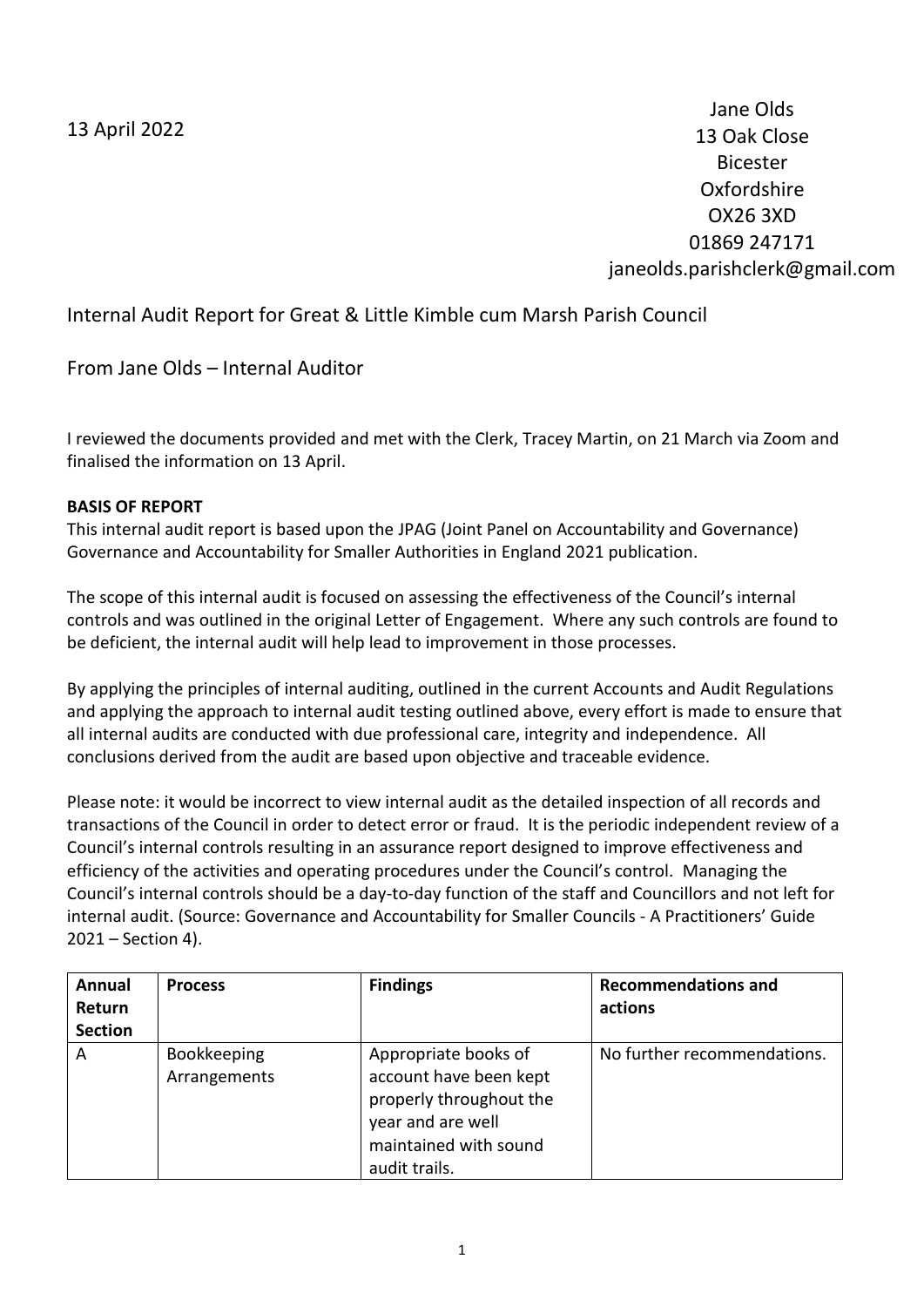13 April 2022

Jane Olds 13 Oak Close Bicester Oxfordshire OX26 3XD 01869 247171 janeolds.parishclerk@gmail.com

Internal Audit Report for Great & Little Kimble cum Marsh Parish Council

From Jane Olds – Internal Auditor

I reviewed the documents provided and met with the Clerk, Tracey Martin, on 21 March via Zoom and finalised the information on 13 April.

## **BASIS OF REPORT**

This internal audit report is based upon the JPAG (Joint Panel on Accountability and Governance) Governance and Accountability for Smaller Authorities in England 2021 publication.

The scope of this internal audit is focused on assessing the effectiveness of the Council's internal controls and was outlined in the original Letter of Engagement. Where any such controls are found to be deficient, the internal audit will help lead to improvement in those processes.

By applying the principles of internal auditing, outlined in the current Accounts and Audit Regulations and applying the approach to internal audit testing outlined above, every effort is made to ensure that all internal audits are conducted with due professional care, integrity and independence. All conclusions derived from the audit are based upon objective and traceable evidence.

Please note: it would be incorrect to view internal audit as the detailed inspection of all records and transactions of the Council in order to detect error or fraud. It is the periodic independent review of a Council's internal controls resulting in an assurance report designed to improve effectiveness and efficiency of the activities and operating procedures under the Council's control. Managing the Council's internal controls should be a day-to-day function of the staff and Councillors and not left for internal audit. (Source: Governance and Accountability for Smaller Councils - A Practitioners' Guide 2021 – Section 4).

| Annual<br>Return<br><b>Section</b> | <b>Process</b>              | <b>Findings</b>                                                                                                                          | <b>Recommendations and</b><br>actions |
|------------------------------------|-----------------------------|------------------------------------------------------------------------------------------------------------------------------------------|---------------------------------------|
| A                                  | Bookkeeping<br>Arrangements | Appropriate books of<br>account have been kept<br>properly throughout the<br>year and are well<br>maintained with sound<br>audit trails. | No further recommendations.           |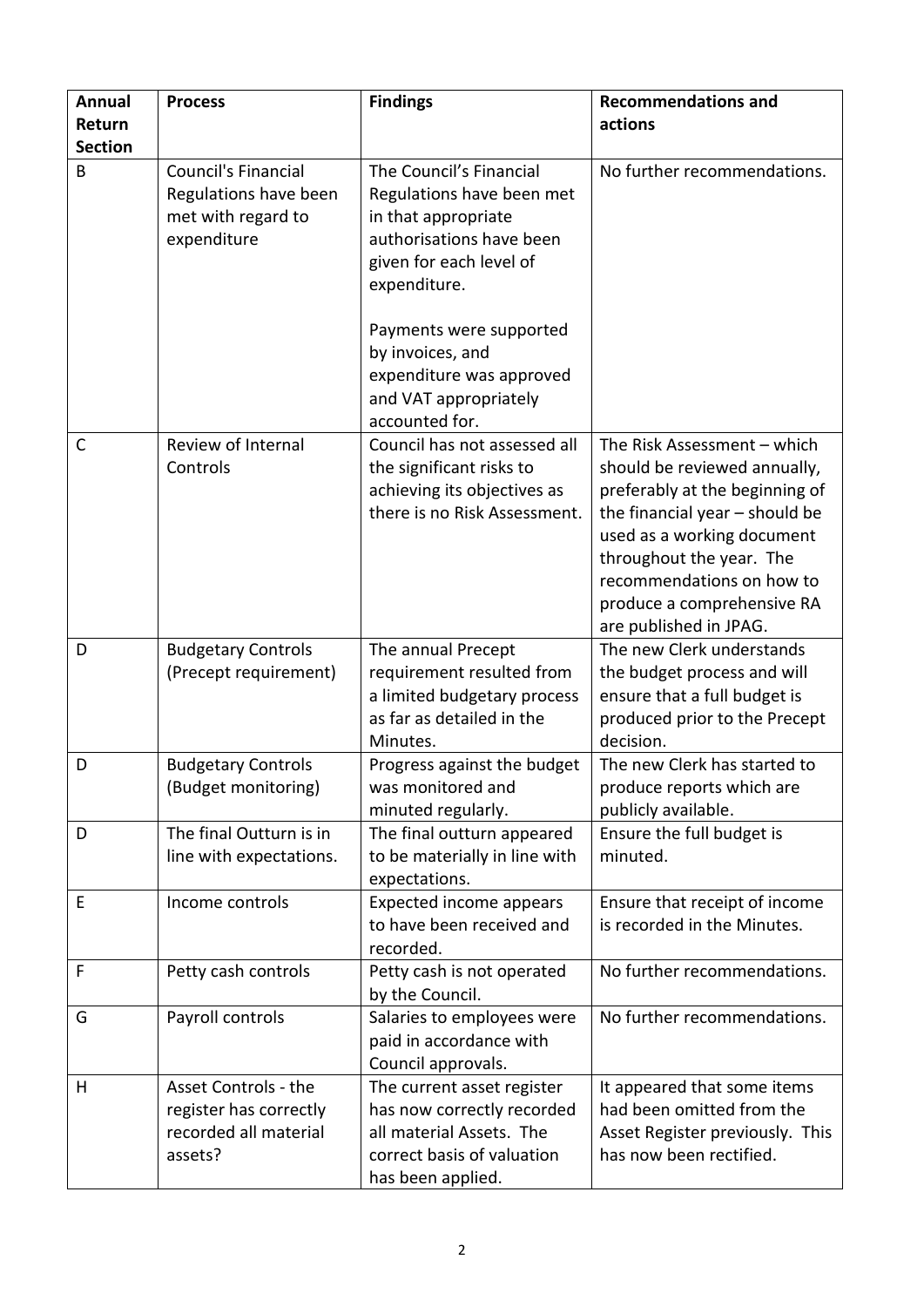| <b>Annual</b>  | <b>Process</b>                                                                           | <b>Findings</b>                                                                                                                                                                                                                                                          | <b>Recommendations and</b>                                                                                                                                                                                                                                                     |
|----------------|------------------------------------------------------------------------------------------|--------------------------------------------------------------------------------------------------------------------------------------------------------------------------------------------------------------------------------------------------------------------------|--------------------------------------------------------------------------------------------------------------------------------------------------------------------------------------------------------------------------------------------------------------------------------|
| Return         |                                                                                          |                                                                                                                                                                                                                                                                          | actions                                                                                                                                                                                                                                                                        |
| <b>Section</b> |                                                                                          |                                                                                                                                                                                                                                                                          |                                                                                                                                                                                                                                                                                |
| B              | <b>Council's Financial</b><br>Regulations have been<br>met with regard to<br>expenditure | The Council's Financial<br>Regulations have been met<br>in that appropriate<br>authorisations have been<br>given for each level of<br>expenditure.<br>Payments were supported<br>by invoices, and<br>expenditure was approved<br>and VAT appropriately<br>accounted for. | No further recommendations.                                                                                                                                                                                                                                                    |
| $\mathsf{C}$   | Review of Internal<br>Controls                                                           | Council has not assessed all<br>the significant risks to<br>achieving its objectives as<br>there is no Risk Assessment.                                                                                                                                                  | The Risk Assessment - which<br>should be reviewed annually,<br>preferably at the beginning of<br>the financial year - should be<br>used as a working document<br>throughout the year. The<br>recommendations on how to<br>produce a comprehensive RA<br>are published in JPAG. |
| D              | <b>Budgetary Controls</b><br>(Precept requirement)                                       | The annual Precept<br>requirement resulted from<br>a limited budgetary process<br>as far as detailed in the<br>Minutes.                                                                                                                                                  | The new Clerk understands<br>the budget process and will<br>ensure that a full budget is<br>produced prior to the Precept<br>decision.                                                                                                                                         |
| D              | <b>Budgetary Controls</b><br>(Budget monitoring)                                         | Progress against the budget<br>was monitored and<br>minuted regularly.                                                                                                                                                                                                   | The new Clerk has started to<br>produce reports which are<br>publicly available.                                                                                                                                                                                               |
| D              | The final Outturn is in<br>line with expectations.                                       | The final outturn appeared<br>to be materially in line with<br>expectations.                                                                                                                                                                                             | Ensure the full budget is<br>minuted.                                                                                                                                                                                                                                          |
| E              | Income controls                                                                          | Expected income appears<br>to have been received and<br>recorded.                                                                                                                                                                                                        | Ensure that receipt of income<br>is recorded in the Minutes.                                                                                                                                                                                                                   |
| F              | Petty cash controls                                                                      | Petty cash is not operated<br>by the Council.                                                                                                                                                                                                                            | No further recommendations.                                                                                                                                                                                                                                                    |
| G              | Payroll controls                                                                         | Salaries to employees were<br>paid in accordance with<br>Council approvals.                                                                                                                                                                                              | No further recommendations.                                                                                                                                                                                                                                                    |
| H              | Asset Controls - the<br>register has correctly<br>recorded all material<br>assets?       | The current asset register<br>has now correctly recorded<br>all material Assets. The<br>correct basis of valuation<br>has been applied.                                                                                                                                  | It appeared that some items<br>had been omitted from the<br>Asset Register previously. This<br>has now been rectified.                                                                                                                                                         |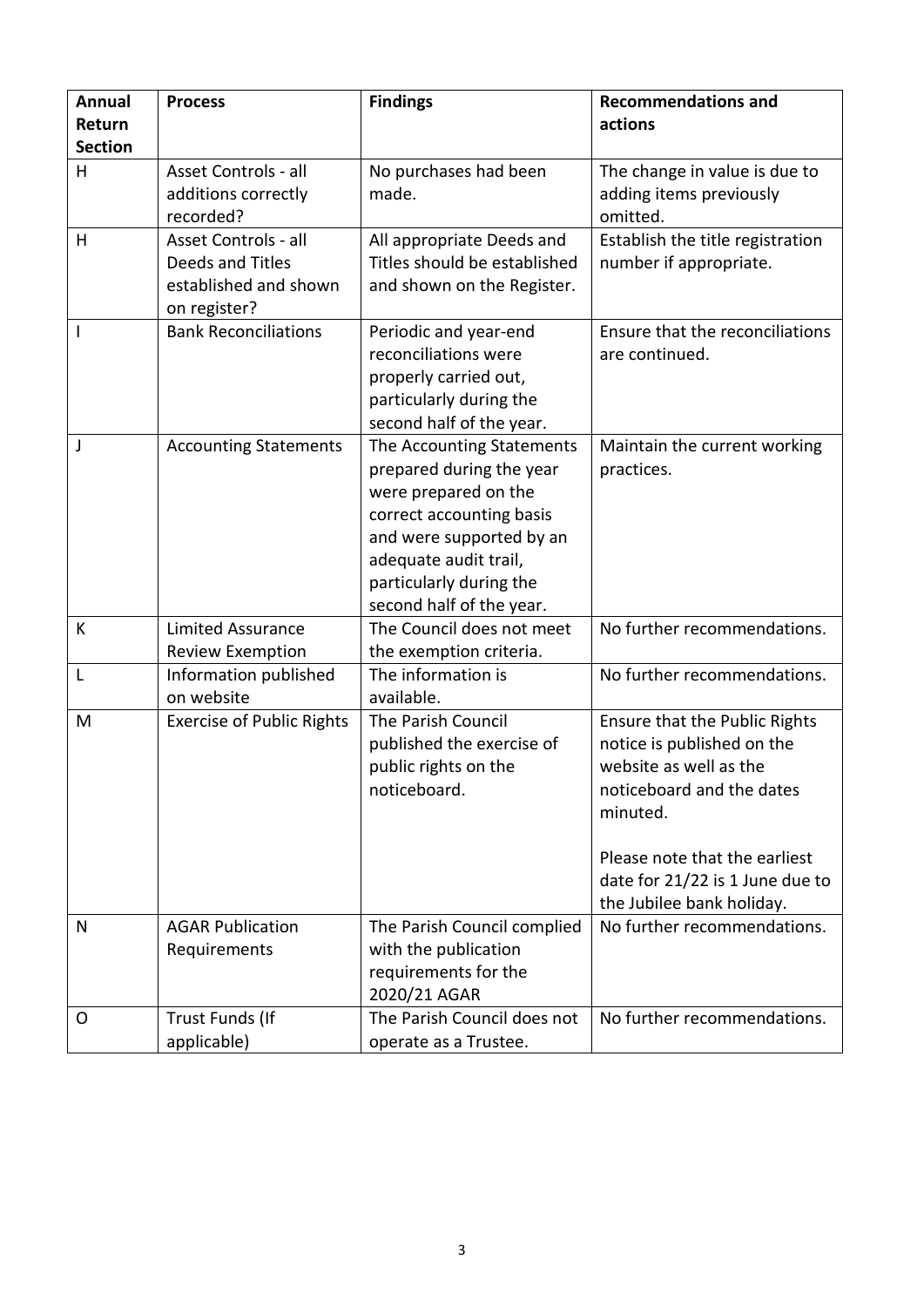| <b>Annual</b>  | <b>Process</b>                                                                    | <b>Findings</b>                                                                                                                                                                                                       | <b>Recommendations and</b>                                                                                                                                                                                                      |
|----------------|-----------------------------------------------------------------------------------|-----------------------------------------------------------------------------------------------------------------------------------------------------------------------------------------------------------------------|---------------------------------------------------------------------------------------------------------------------------------------------------------------------------------------------------------------------------------|
| Return         |                                                                                   |                                                                                                                                                                                                                       | actions                                                                                                                                                                                                                         |
| <b>Section</b> |                                                                                   |                                                                                                                                                                                                                       |                                                                                                                                                                                                                                 |
| H              | Asset Controls - all<br>additions correctly<br>recorded?                          | No purchases had been<br>made.                                                                                                                                                                                        | The change in value is due to<br>adding items previously<br>omitted.                                                                                                                                                            |
| H              | Asset Controls - all<br>Deeds and Titles<br>established and shown<br>on register? | All appropriate Deeds and<br>Titles should be established<br>and shown on the Register.                                                                                                                               | Establish the title registration<br>number if appropriate.                                                                                                                                                                      |
|                | <b>Bank Reconciliations</b>                                                       | Periodic and year-end<br>reconciliations were<br>properly carried out,<br>particularly during the<br>second half of the year.                                                                                         | Ensure that the reconciliations<br>are continued.                                                                                                                                                                               |
| J              | <b>Accounting Statements</b>                                                      | The Accounting Statements<br>prepared during the year<br>were prepared on the<br>correct accounting basis<br>and were supported by an<br>adequate audit trail,<br>particularly during the<br>second half of the year. | Maintain the current working<br>practices.                                                                                                                                                                                      |
| К              | <b>Limited Assurance</b><br><b>Review Exemption</b>                               | The Council does not meet<br>the exemption criteria.                                                                                                                                                                  | No further recommendations.                                                                                                                                                                                                     |
| L              | Information published<br>on website                                               | The information is<br>available.                                                                                                                                                                                      | No further recommendations.                                                                                                                                                                                                     |
| M              | <b>Exercise of Public Rights</b>                                                  | The Parish Council<br>published the exercise of<br>public rights on the<br>noticeboard.                                                                                                                               | Ensure that the Public Rights<br>notice is published on the<br>website as well as the<br>noticeboard and the dates<br>minuted.<br>Please note that the earliest<br>date for 21/22 is 1 June due to<br>the Jubilee bank holiday. |
| N              | <b>AGAR Publication</b>                                                           | The Parish Council complied                                                                                                                                                                                           | No further recommendations.                                                                                                                                                                                                     |
|                | Requirements                                                                      | with the publication<br>requirements for the<br>2020/21 AGAR                                                                                                                                                          |                                                                                                                                                                                                                                 |
| O              | Trust Funds (If<br>applicable)                                                    | The Parish Council does not<br>operate as a Trustee.                                                                                                                                                                  | No further recommendations.                                                                                                                                                                                                     |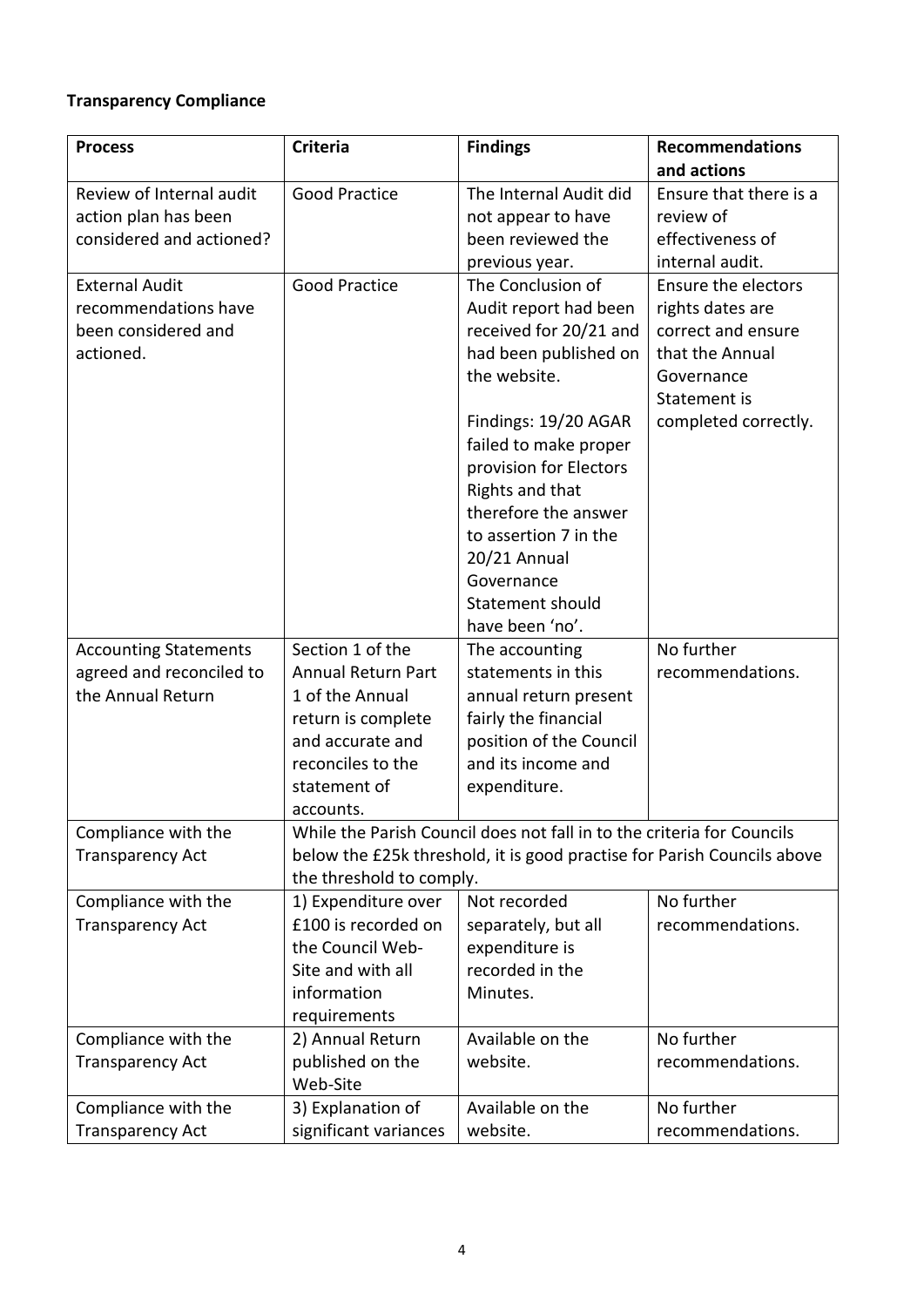# **Transparency Compliance**

| <b>Process</b>               | <b>Criteria</b>                  | <b>Findings</b>                                                         | <b>Recommendations</b>     |
|------------------------------|----------------------------------|-------------------------------------------------------------------------|----------------------------|
|                              |                                  |                                                                         | and actions                |
| Review of Internal audit     | <b>Good Practice</b>             | The Internal Audit did                                                  | Ensure that there is a     |
| action plan has been         |                                  | not appear to have                                                      | review of                  |
| considered and actioned?     |                                  | been reviewed the                                                       | effectiveness of           |
|                              |                                  | previous year.                                                          | internal audit.            |
| <b>External Audit</b>        | <b>Good Practice</b>             | The Conclusion of                                                       | <b>Ensure the electors</b> |
| recommendations have         |                                  | Audit report had been                                                   | rights dates are           |
| been considered and          |                                  | received for 20/21 and                                                  | correct and ensure         |
| actioned.                    |                                  | had been published on                                                   | that the Annual            |
|                              |                                  | the website.                                                            | Governance                 |
|                              |                                  |                                                                         | Statement is               |
|                              |                                  | Findings: 19/20 AGAR                                                    | completed correctly.       |
|                              |                                  | failed to make proper                                                   |                            |
|                              |                                  | provision for Electors                                                  |                            |
|                              |                                  | Rights and that                                                         |                            |
|                              |                                  | therefore the answer                                                    |                            |
|                              |                                  | to assertion 7 in the                                                   |                            |
|                              |                                  | 20/21 Annual                                                            |                            |
|                              |                                  | Governance                                                              |                            |
|                              |                                  | Statement should                                                        |                            |
|                              |                                  | have been 'no'.                                                         |                            |
| <b>Accounting Statements</b> | Section 1 of the                 | The accounting                                                          | No further                 |
| agreed and reconciled to     | <b>Annual Return Part</b>        | statements in this                                                      | recommendations.           |
| the Annual Return            | 1 of the Annual                  | annual return present                                                   |                            |
|                              | return is complete               | fairly the financial                                                    |                            |
|                              | and accurate and                 | position of the Council                                                 |                            |
|                              | reconciles to the                | and its income and                                                      |                            |
|                              | statement of                     | expenditure.                                                            |                            |
|                              | accounts.                        |                                                                         |                            |
| Compliance with the          |                                  | While the Parish Council does not fall in to the criteria for Councils  |                            |
| <b>Transparency Act</b>      |                                  | below the £25k threshold, it is good practise for Parish Councils above |                            |
|                              | the threshold to comply.         |                                                                         |                            |
| Compliance with the          | 1) Expenditure over              | Not recorded                                                            | No further                 |
| <b>Transparency Act</b>      | £100 is recorded on              | separately, but all                                                     | recommendations.           |
|                              | the Council Web-                 | expenditure is                                                          |                            |
|                              | Site and with all<br>information | recorded in the                                                         |                            |
|                              |                                  | Minutes.                                                                |                            |
|                              | requirements                     |                                                                         | No further                 |
| Compliance with the          | 2) Annual Return                 | Available on the<br>website.                                            |                            |
| <b>Transparency Act</b>      | published on the<br>Web-Site     |                                                                         | recommendations.           |
| Compliance with the          | 3) Explanation of                | Available on the                                                        | No further                 |
| <b>Transparency Act</b>      | significant variances            | website.                                                                | recommendations.           |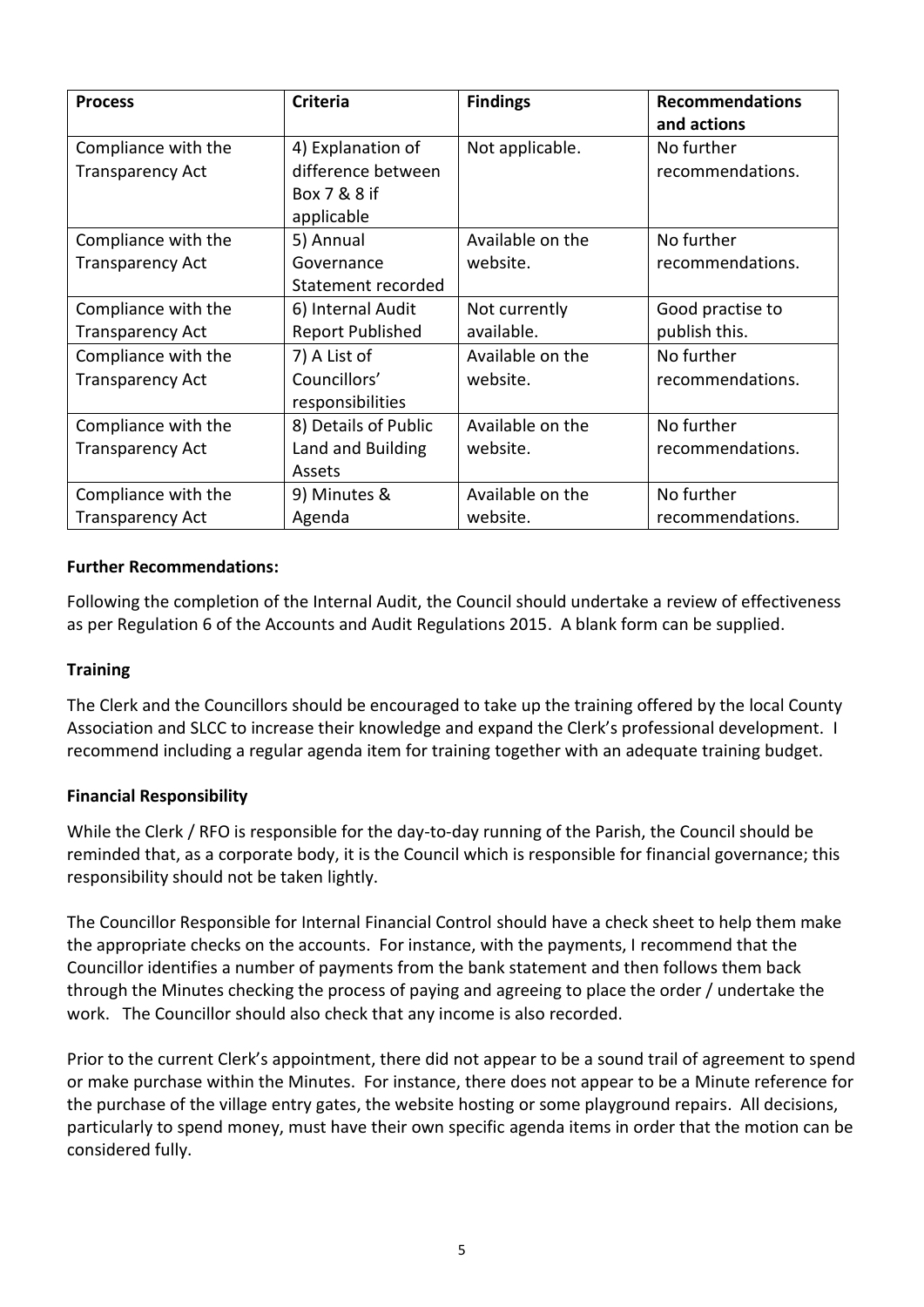| <b>Process</b>          | <b>Criteria</b>         | <b>Findings</b>  | <b>Recommendations</b><br>and actions |
|-------------------------|-------------------------|------------------|---------------------------------------|
| Compliance with the     | 4) Explanation of       | Not applicable.  | No further                            |
| <b>Transparency Act</b> | difference between      |                  | recommendations.                      |
|                         | Box 7 & 8 if            |                  |                                       |
|                         | applicable              |                  |                                       |
| Compliance with the     | 5) Annual               | Available on the | No further                            |
| <b>Transparency Act</b> | Governance              | website.         | recommendations.                      |
|                         | Statement recorded      |                  |                                       |
| Compliance with the     | 6) Internal Audit       | Not currently    | Good practise to                      |
| <b>Transparency Act</b> | <b>Report Published</b> | available.       | publish this.                         |
| Compliance with the     | 7) A List of            | Available on the | No further                            |
| <b>Transparency Act</b> | Councillors'            | website.         | recommendations.                      |
|                         | responsibilities        |                  |                                       |
| Compliance with the     | 8) Details of Public    | Available on the | No further                            |
| <b>Transparency Act</b> | Land and Building       | website.         | recommendations.                      |
|                         | Assets                  |                  |                                       |
| Compliance with the     | 9) Minutes &            | Available on the | No further                            |
| <b>Transparency Act</b> | Agenda                  | website.         | recommendations.                      |

## **Further Recommendations:**

Following the completion of the Internal Audit, the Council should undertake a review of effectiveness as per Regulation 6 of the Accounts and Audit Regulations 2015. A blank form can be supplied.

#### **Training**

The Clerk and the Councillors should be encouraged to take up the training offered by the local County Association and SLCC to increase their knowledge and expand the Clerk's professional development. I recommend including a regular agenda item for training together with an adequate training budget.

#### **Financial Responsibility**

While the Clerk / RFO is responsible for the day-to-day running of the Parish, the Council should be reminded that, as a corporate body, it is the Council which is responsible for financial governance; this responsibility should not be taken lightly.

The Councillor Responsible for Internal Financial Control should have a check sheet to help them make the appropriate checks on the accounts. For instance, with the payments, I recommend that the Councillor identifies a number of payments from the bank statement and then follows them back through the Minutes checking the process of paying and agreeing to place the order / undertake the work. The Councillor should also check that any income is also recorded.

Prior to the current Clerk's appointment, there did not appear to be a sound trail of agreement to spend or make purchase within the Minutes. For instance, there does not appear to be a Minute reference for the purchase of the village entry gates, the website hosting or some playground repairs. All decisions, particularly to spend money, must have their own specific agenda items in order that the motion can be considered fully.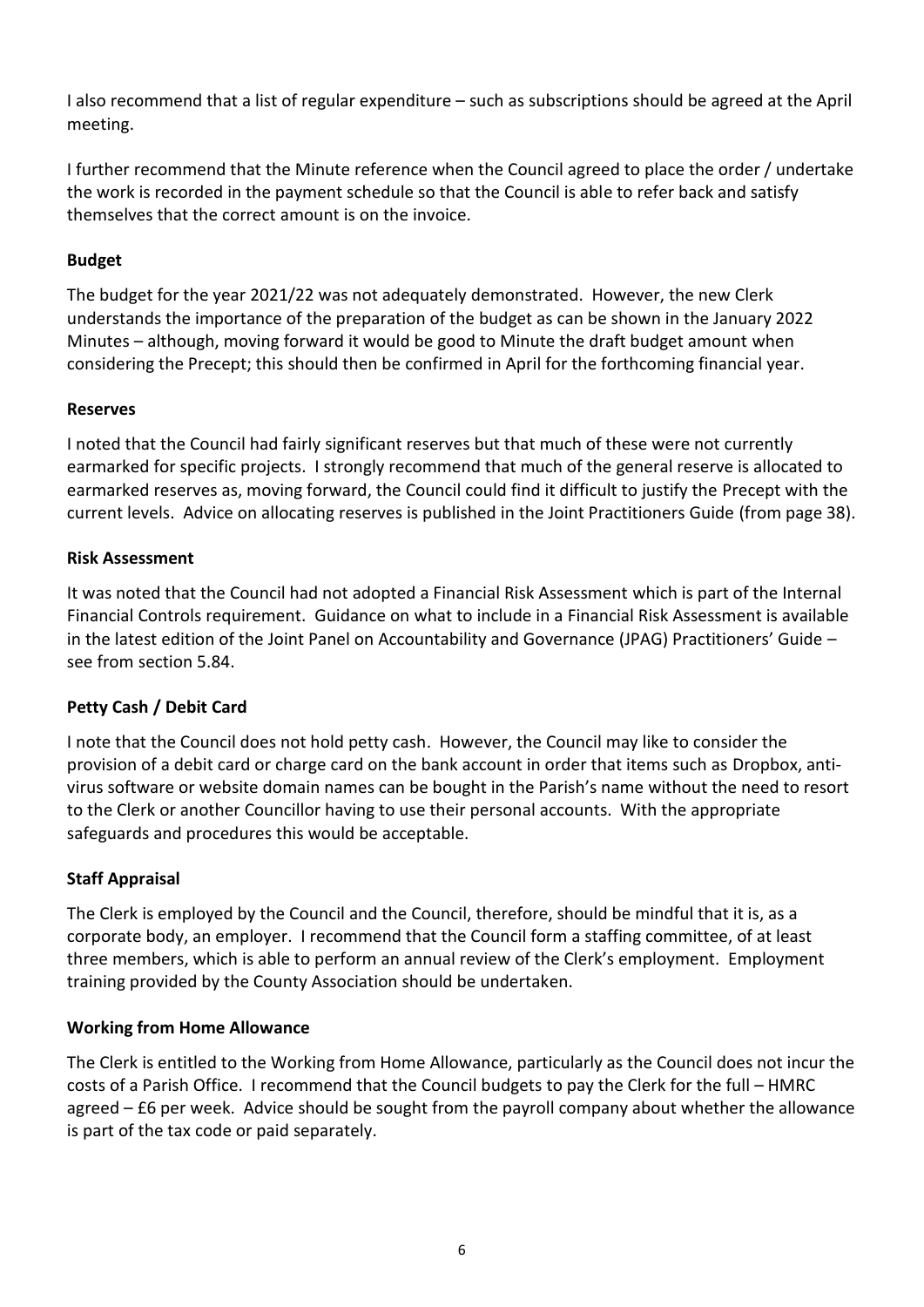I also recommend that a list of regular expenditure – such as subscriptions should be agreed at the April meeting.

I further recommend that the Minute reference when the Council agreed to place the order / undertake the work is recorded in the payment schedule so that the Council is able to refer back and satisfy themselves that the correct amount is on the invoice.

# **Budget**

The budget for the year 2021/22 was not adequately demonstrated. However, the new Clerk understands the importance of the preparation of the budget as can be shown in the January 2022 Minutes – although, moving forward it would be good to Minute the draft budget amount when considering the Precept; this should then be confirmed in April for the forthcoming financial year.

# **Reserves**

I noted that the Council had fairly significant reserves but that much of these were not currently earmarked for specific projects. I strongly recommend that much of the general reserve is allocated to earmarked reserves as, moving forward, the Council could find it difficult to justify the Precept with the current levels. Advice on allocating reserves is published in the Joint Practitioners Guide (from page 38).

# **Risk Assessment**

It was noted that the Council had not adopted a Financial Risk Assessment which is part of the Internal Financial Controls requirement. Guidance on what to include in a Financial Risk Assessment is available in the latest edition of the Joint Panel on Accountability and Governance (JPAG) Practitioners' Guide – see from section 5.84.

# **Petty Cash / Debit Card**

I note that the Council does not hold petty cash. However, the Council may like to consider the provision of a debit card or charge card on the bank account in order that items such as Dropbox, antivirus software or website domain names can be bought in the Parish's name without the need to resort to the Clerk or another Councillor having to use their personal accounts. With the appropriate safeguards and procedures this would be acceptable.

# **Staff Appraisal**

The Clerk is employed by the Council and the Council, therefore, should be mindful that it is, as a corporate body, an employer. I recommend that the Council form a staffing committee, of at least three members, which is able to perform an annual review of the Clerk's employment. Employment training provided by the County Association should be undertaken.

#### **Working from Home Allowance**

The Clerk is entitled to the Working from Home Allowance, particularly as the Council does not incur the costs of a Parish Office. I recommend that the Council budgets to pay the Clerk for the full – HMRC agreed – £6 per week. Advice should be sought from the payroll company about whether the allowance is part of the tax code or paid separately.